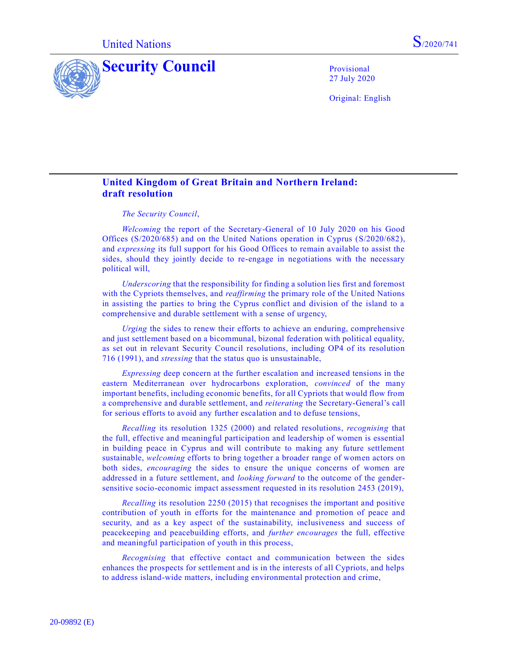



27 July 2020

Original: English

## **United Kingdom of Great Britain and Northern Ireland: draft resolution**

## *The Security Council*,

*Welcoming* the report of the Secretary-General of 10 July 2020 on his Good Offices [\(S/2020/685\)](https://undocs.org/en/S/2020/685) and on the United Nations operation in Cyprus [\(S/2020/682\)](https://undocs.org/en/S/2020/682), and *expressing* its full support for his Good Offices to remain available to assist the sides, should they jointly decide to re-engage in negotiations with the necessary political will,

*Underscoring* that the responsibility for finding a solution lies first and foremost with the Cypriots themselves, and *reaffirming* the primary role of the United Nations in assisting the parties to bring the Cyprus conflict and division of the island to a comprehensive and durable settlement with a sense of urgency,

*Urging* the sides to renew their efforts to achieve an enduring, comprehensive and just settlement based on a bicommunal, bizonal federation with political equality, as set out in relevant Security Council resolutions, including OP4 of its resolution [716 \(1991\),](https://undocs.org/en/S/RES/716%20(1991)) and *stressing* that the status quo is unsustainable,

*Expressing* deep concern at the further escalation and increased tensions in the eastern Mediterranean over hydrocarbons exploration, *convinced* of the many important benefits, including economic benefits, for all Cypriots that would flow from a comprehensive and durable settlement, and *reiterating* the Secretary-General's call for serious efforts to avoid any further escalation and to defuse tensions,

*Recalling* its resolution [1325 \(2000\)](https://undocs.org/en/S/RES/1325%20(2000)) and related resolutions, *recognising* that the full, effective and meaningful participation and leadership of women is essential in building peace in Cyprus and will contribute to making any future settlement sustainable, *welcoming* efforts to bring together a broader range of women actors on both sides, *encouraging* the sides to ensure the unique concerns of women are addressed in a future settlement, and *looking forward* to the outcome of the gendersensitive socio-economic impact assessment requested in its resolution [2453 \(2019\),](https://undocs.org/en/S/RES/2453%20(2019))

*Recalling* its resolution [2250 \(2015\)](https://undocs.org/en/S/RES/2250%20(2015)) that recognises the important and positive contribution of youth in efforts for the maintenance and promotion of peace and security, and as a key aspect of the sustainability, inclusiveness and success of peacekeeping and peacebuilding efforts, and *further encourages* the full, effective and meaningful participation of youth in this process,

*Recognising* that effective contact and communication between the sides enhances the prospects for settlement and is in the interests of all Cypriots, and helps to address island-wide matters, including environmental protection and crime,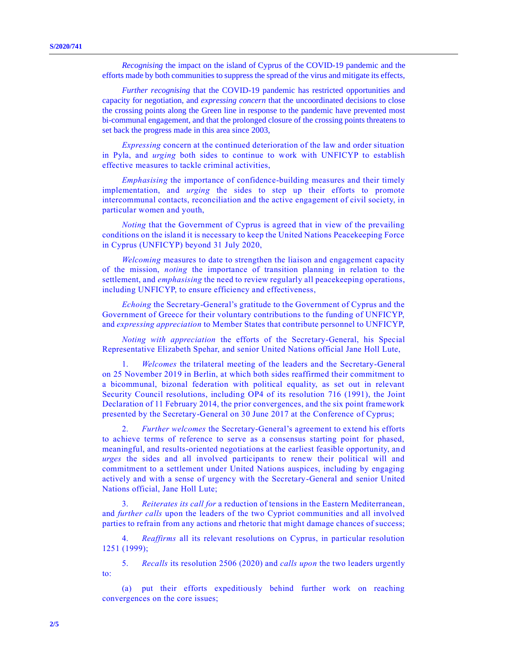*Recognising* the impact on the island of Cyprus of the COVID-19 pandemic and the efforts made by both communities to suppress the spread of the virus and mitigate its effects,

*Further recognising* that the COVID-19 pandemic has restricted opportunities and capacity for negotiation, and *expressing concern* that the uncoordinated decisions to close the crossing points along the Green line in response to the pandemic have prevented most bi-communal engagement, and that the prolonged closure of the crossing points threatens to set back the progress made in this area since 2003,

*Expressing* concern at the continued deterioration of the law and order situation in Pyla, and *urging* both sides to continue to work with UNFICYP to establish effective measures to tackle criminal activities,

*Emphasising* the importance of confidence-building measures and their timely implementation, and *urging* the sides to step up their efforts to promote intercommunal contacts, reconciliation and the active engagement of civil society, in particular women and youth,

*Noting* that the Government of Cyprus is agreed that in view of the prevailing conditions on the island it is necessary to keep the United Nations Peacekeeping Force in Cyprus (UNFICYP) beyond 31 July 2020,

*Welcoming* measures to date to strengthen the liaison and engagement capacity of the mission, *noting* the importance of transition planning in relation to the settlement, and *emphasising* the need to review regularly all peacekeeping operations, including UNFICYP, to ensure efficiency and effectiveness,

*Echoing* the Secretary-General's gratitude to the Government of Cyprus and the Government of Greece for their voluntary contributions to the funding of UNFICYP, and *expressing appreciation* to Member States that contribute personnel to UNFICYP,

*Noting with appreciation* the efforts of the Secretary-General, his Special Representative Elizabeth Spehar, and senior United Nations official Jane Holl Lute,

1. *Welcomes* the trilateral meeting of the leaders and the Secretary-General on 25 November 2019 in Berlin, at which both sides reaffirmed their commitment to a bicommunal, bizonal federation with political equality, as set out in relevant Security Council resolutions, including OP4 of its resolution [716 \(1991\),](https://undocs.org/en/S/RES/716%20(1991)) the Joint Declaration of 11 February 2014, the prior convergences, and the six point framework presented by the Secretary-General on 30 June 2017 at the Conference of Cyprus;

2. *Further welcomes* the Secretary-General's agreement to extend his efforts to achieve terms of reference to serve as a consensus starting point for phased, meaningful, and results-oriented negotiations at the earliest feasible opportunity, and *urges* the sides and all involved participants to renew their political will and commitment to a settlement under United Nations auspices, including by engaging actively and with a sense of urgency with the Secretary-General and senior United Nations official, Jane Holl Lute;

3. *Reiterates its call for* a reduction of tensions in the Eastern Mediterranean, and *further calls* upon the leaders of the two Cypriot communities and all involved parties to refrain from any actions and rhetoric that might damage chances of success;

4. *Reaffirms* all its relevant resolutions on Cyprus, in particular resolution [1251 \(1999\);](https://undocs.org/en/S/RES/1251%20(1999))

5. *Recalls* its resolution [2506 \(2020\)](https://undocs.org/en/S/RES/2483%20(2019)) and *calls upon* the two leaders urgently to:

(a) put their efforts expeditiously behind further work on reaching convergences on the core issues;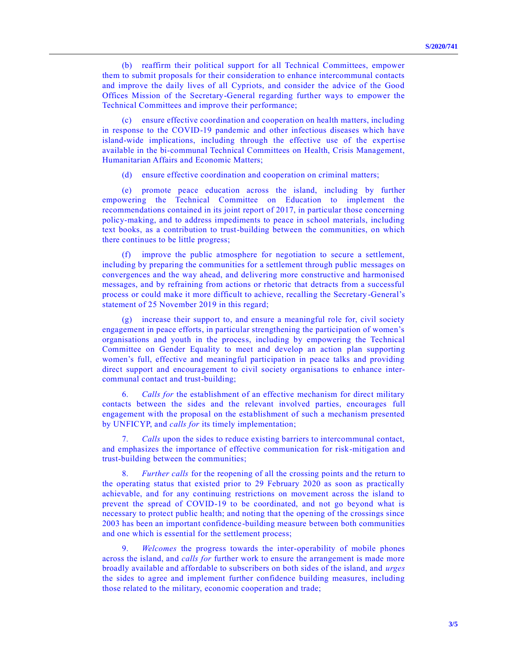(b) reaffirm their political support for all Technical Committees, empower them to submit proposals for their consideration to enhance intercommunal contacts and improve the daily lives of all Cypriots, and consider the advice of the Good Offices Mission of the Secretary-General regarding further ways to empower the Technical Committees and improve their performance;

(c) ensure effective coordination and cooperation on health matters, including in response to the COVID-19 pandemic and other infectious diseases which have island-wide implications, including through the effective use of the expertise available in the bi-communal Technical Committees on Health, Crisis Management, Humanitarian Affairs and Economic Matters;

ensure effective coordination and cooperation on criminal matters;

(e) promote peace education across the island, including by further empowering the Technical Committee on Education to implement the recommendations contained in its joint report of 2017, in particular those concerning policy-making, and to address impediments to peace in school materials, including text books, as a contribution to trust-building between the communities, on which there continues to be little progress;

(f) improve the public atmosphere for negotiation to secure a settlement, including by preparing the communities for a settlement through public messages on convergences and the way ahead, and delivering more constructive and harmonised messages, and by refraining from actions or rhetoric that detracts from a successful process or could make it more difficult to achieve, recalling the Secretary -General's statement of 25 November 2019 in this regard;

(g) increase their support to, and ensure a meaningful role for, civil society engagement in peace efforts, in particular strengthening the participation of women's organisations and youth in the process, including by empowering the Technical Committee on Gender Equality to meet and develop an action plan supporting women's full, effective and meaningful participation in peace talks and providing direct support and encouragement to civil society organisations to enhance intercommunal contact and trust-building;

6. *Calls for* the establishment of an effective mechanism for direct military contacts between the sides and the relevant involved parties, encourages full engagement with the proposal on the establishment of such a mechanism presented by UNFICYP, and *calls for* its timely implementation;

7. *Calls* upon the sides to reduce existing barriers to intercommunal contact, and emphasizes the importance of effective communication for risk-mitigation and trust-building between the communities;

8. *Further calls* for the reopening of all the crossing points and the return to the operating status that existed prior to 29 February 2020 as soon as practically achievable, and for any continuing restrictions on movement across the island to prevent the spread of COVID-19 to be coordinated, and not go beyond what is necessary to protect public health; and noting that the opening of the crossings since 2003 has been an important confidence-building measure between both communities and one which is essential for the settlement process;

9. *Welcomes* the progress towards the inter-operability of mobile phones across the island, and *calls for* further work to ensure the arrangement is made more broadly available and affordable to subscribers on both sides of the island, and *urges* the sides to agree and implement further confidence building measures, including those related to the military, economic cooperation and trade;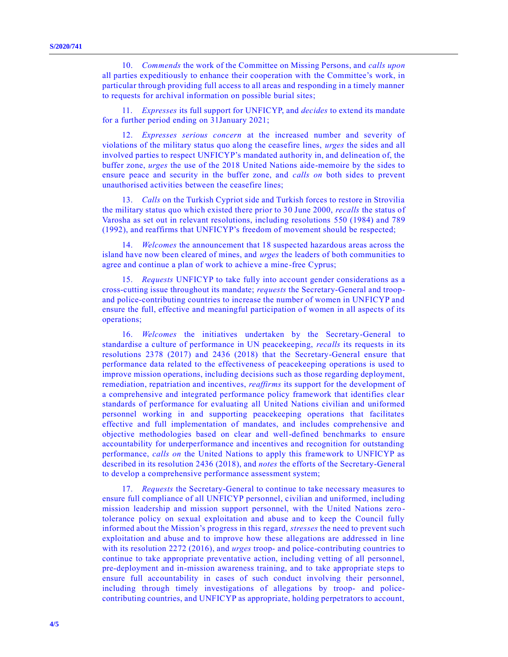10. *Commends* the work of the Committee on Missing Persons, and *calls upon* all parties expeditiously to enhance their cooperation with the Committee's work, in particular through providing full access to all areas and responding in a timely manner to requests for archival information on possible burial sites;

11. *Expresses* its full support for UNFICYP, and *decides* to extend its mandate for a further period ending on 31January 2021;

12. *Expresses serious concern* at the increased number and severity of violations of the military status quo along the ceasefire lines, *urges* the sides and all involved parties to respect UNFICYP's mandated authority in, and delineation of, the buffer zone, *urges* the use of the 2018 United Nations aide-memoire by the sides to ensure peace and security in the buffer zone, and *calls on* both sides to prevent unauthorised activities between the ceasefire lines;

13. *Calls* on the Turkish Cypriot side and Turkish forces to restore in Strovilia the military status quo which existed there prior to 30 June 2000, *recalls* the status of Varosha as set out in relevant resolutions, including resolutions [550 \(1984\)](https://undocs.org/en/S/RES/550(1984)) and [789](https://undocs.org/en/S/RES/789(1992))  [\(1992\),](https://undocs.org/en/S/RES/789(1992)) and reaffirms that UNFICYP's freedom of movement should be respected;

14. *Welcomes* the announcement that 18 suspected hazardous areas across the island have now been cleared of mines, and *urges* the leaders of both communities to agree and continue a plan of work to achieve a mine-free Cyprus;

15. *Requests* UNFICYP to take fully into account gender considerations as a cross-cutting issue throughout its mandate; *requests* the Secretary-General and troopand police-contributing countries to increase the number of women in UNFICYP and ensure the full, effective and meaningful participation of women in all aspects of its operations;

16. *Welcomes* the initiatives undertaken by the Secretary-General to standardise a culture of performance in UN peacekeeping, *recalls* its requests in its resolutions [2378 \(2017\)](https://undocs.org/en/S/RES/2378%20(2017)) and [2436 \(2018\)](https://undocs.org/en/S/RES/2436%20(2018)) that the Secretary-General ensure that performance data related to the effectiveness of peacekeeping operations is used to improve mission operations, including decisions such as those regarding deployment, remediation, repatriation and incentives, *reaffirms* its support for the development of a comprehensive and integrated performance policy framework that identifies clear standards of performance for evaluating all United Nations civilian and uniformed personnel working in and supporting peacekeeping operations that facilitates effective and full implementation of mandates, and includes comprehensive and objective methodologies based on clear and well-defined benchmarks to ensure accountability for underperformance and incentives and recognition for outstanding performance, *calls on* the United Nations to apply this framework to UNFICYP as described in its resolution [2436 \(2018\),](https://undocs.org/en/S/RES/2436%20(2018)) and *notes* the efforts of the Secretary-General to develop a comprehensive performance assessment system;

17. *Requests* the Secretary-General to continue to take necessary measures to ensure full compliance of all UNFICYP personnel, civilian and uniformed, including mission leadership and mission support personnel, with the United Nations zero tolerance policy on sexual exploitation and abuse and to keep the Council fully informed about the Mission's progress in this regard, *stresses* the need to prevent such exploitation and abuse and to improve how these allegations are addressed in line with its resolution [2272 \(2016\),](https://undocs.org/en/S/RES/2272%20(2016)) and *urges* troop- and police-contributing countries to continue to take appropriate preventative action, including vetting of all personnel, pre-deployment and in-mission awareness training, and to take appropriate steps to ensure full accountability in cases of such conduct involving their personnel, including through timely investigations of allegations by troop- and policecontributing countries, and UNFICYP as appropriate, holding perpetrators to account,